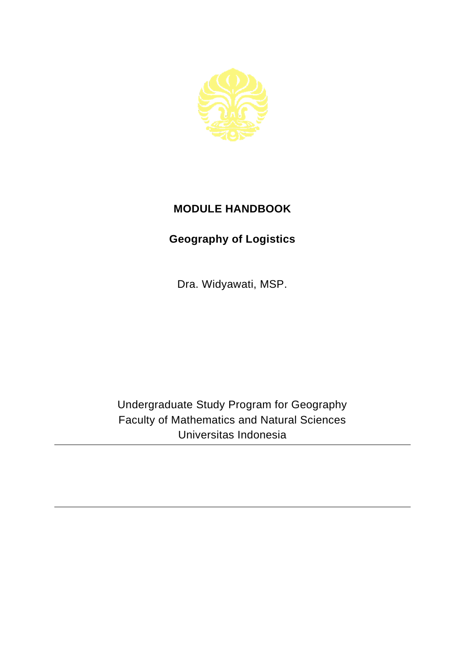

## **MODULE HANDBOOK**

## **Geography of Logistics**

Dra. Widyawati, MSP.

Undergraduate Study Program for Geography Faculty of Mathematics and Natural Sciences Universitas Indonesia